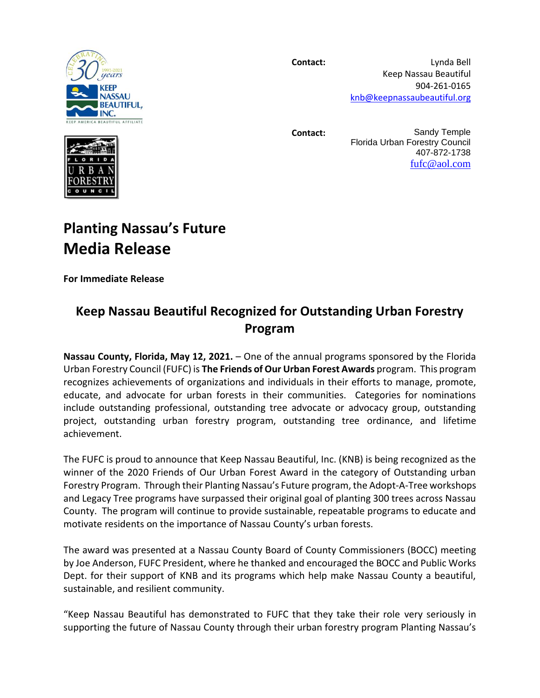

**Contact:** Lynda Bell Keep Nassau Beautiful 904-261-0165 [knb@keepnassaubeautiful.org](mailto:knb@keepnassaubeautiful.org)

**Contact:** Sandy Temple Florida Urban Forestry Council 407-872-1738 [fufc@aol.com](mailto:fufc@aol.com)

## **Planting Nassau's Future Media Release**

**For Immediate Release**

## **Keep Nassau Beautiful Recognized for Outstanding Urban Forestry Program**

**Nassau County, Florida, May 12, 2021.** – One of the annual programs sponsored by the Florida Urban Forestry Council (FUFC) is **The Friends of Our Urban Forest Awards** program. This program recognizes achievements of organizations and individuals in their efforts to manage, promote, educate, and advocate for urban forests in their communities. Categories for nominations include outstanding professional, outstanding tree advocate or advocacy group, outstanding project, outstanding urban forestry program, outstanding tree ordinance, and lifetime achievement.

The FUFC is proud to announce that Keep Nassau Beautiful, Inc. (KNB) is being recognized as the winner of the 2020 Friends of Our Urban Forest Award in the category of Outstanding urban Forestry Program. Through their Planting Nassau's Future program, the Adopt-A-Tree workshops and Legacy Tree programs have surpassed their original goal of planting 300 trees across Nassau County. The program will continue to provide sustainable, repeatable programs to educate and motivate residents on the importance of Nassau County's urban forests.

The award was presented at a Nassau County Board of County Commissioners (BOCC) meeting by Joe Anderson, FUFC President, where he thanked and encouraged the BOCC and Public Works Dept. for their support of KNB and its programs which help make Nassau County a beautiful, sustainable, and resilient community.

"Keep Nassau Beautiful has demonstrated to FUFC that they take their role very seriously in supporting the future of Nassau County through their urban forestry program Planting Nassau's